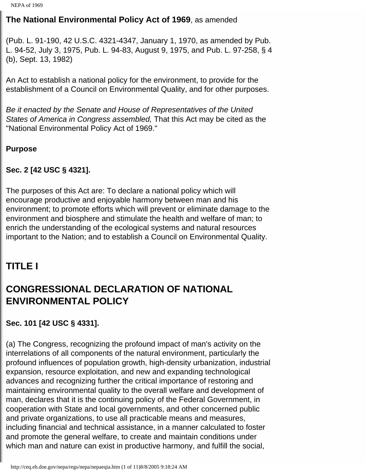# **The National Environmental Policy Act of 1969**, as amended

(Pub. L. 91-190, 42 U.S.C. 4321-4347, January 1, 1970, as amended by Pub. L. 94-52, July 3, 1975, Pub. L. 94-83, August 9, 1975, and Pub. L. 97-258, § 4 (b), Sept. 13, 1982)

An Act to establish a national policy for the environment, to provide for the establishment of a Council on Environmental Quality, and for other purposes.

*Be it enacted by the Senate and House of Representatives of the United States of America in Congress assembled,* That this Act may be cited as the "National Environmental Policy Act of 1969."

#### **Purpose**

## **Sec. 2 [42 USC § 4321].**

The purposes of this Act are: To declare a national policy which will encourage productive and enjoyable harmony between man and his environment; to promote efforts which will prevent or eliminate damage to the environment and biosphere and stimulate the health and welfare of man; to enrich the understanding of the ecological systems and natural resources important to the Nation; and to establish a Council on Environmental Quality.

# **TITLE I**

# **CONGRESSIONAL DECLARATION OF NATIONAL ENVIRONMENTAL POLICY**

## **Sec. 101 [42 USC § 4331].**

(a) The Congress, recognizing the profound impact of man's activity on the interrelations of all components of the natural environment, particularly the profound influences of population growth, high-density urbanization, industrial expansion, resource exploitation, and new and expanding technological advances and recognizing further the critical importance of restoring and maintaining environmental quality to the overall welfare and development of man, declares that it is the continuing policy of the Federal Government, in cooperation with State and local governments, and other concerned public and private organizations, to use all practicable means and measures, including financial and technical assistance, in a manner calculated to foster and promote the general welfare, to create and maintain conditions under which man and nature can exist in productive harmony, and fulfill the social,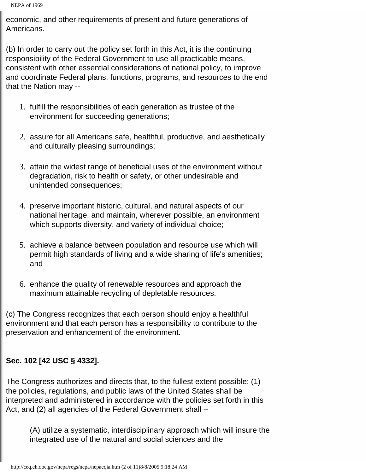economic, and other requirements of present and future generations of Americans.

(b) In order to carry out the policy set forth in this Act, it is the continuing responsibility of the Federal Government to use all practicable means, consistent with other essential considerations of national policy, to improve and coordinate Federal plans, functions, programs, and resources to the end that the Nation may --

- 1. fulfill the responsibilities of each generation as trustee of the environment for succeeding generations;
- 2. assure for all Americans safe, healthful, productive, and aesthetically and culturally pleasing surroundings;
- 3. attain the widest range of beneficial uses of the environment without degradation, risk to health or safety, or other undesirable and unintended consequences;
- 4. preserve important historic, cultural, and natural aspects of our national heritage, and maintain, wherever possible, an environment which supports diversity, and variety of individual choice;
- 5. achieve a balance between population and resource use which will permit high standards of living and a wide sharing of life's amenities; and
- 6. enhance the quality of renewable resources and approach the maximum attainable recycling of depletable resources.

(c) The Congress recognizes that each person should enjoy a healthful environment and that each person has a responsibility to contribute to the preservation and enhancement of the environment.

# **Sec. 102 [42 USC § 4332].**

The Congress authorizes and directs that, to the fullest extent possible: (1) the policies, regulations, and public laws of the United States shall be interpreted and administered in accordance with the policies set forth in this Act, and (2) all agencies of the Federal Government shall --

(A) utilize a systematic, interdisciplinary approach which will insure the integrated use of the natural and social sciences and the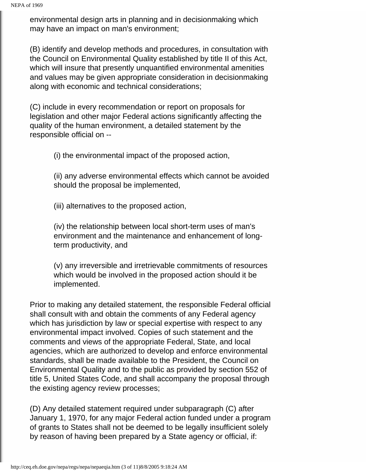environmental design arts in planning and in decisionmaking which may have an impact on man's environment;

(B) identify and develop methods and procedures, in consultation with the Council on Environmental Quality established by title II of this Act, which will insure that presently unquantified environmental amenities and values may be given appropriate consideration in decisionmaking along with economic and technical considerations;

(C) include in every recommendation or report on proposals for legislation and other major Federal actions significantly affecting the quality of the human environment, a detailed statement by the responsible official on --

(i) the environmental impact of the proposed action,

(ii) any adverse environmental effects which cannot be avoided should the proposal be implemented,

(iii) alternatives to the proposed action,

(iv) the relationship between local short-term uses of man's environment and the maintenance and enhancement of longterm productivity, and

(v) any irreversible and irretrievable commitments of resources which would be involved in the proposed action should it be implemented.

Prior to making any detailed statement, the responsible Federal official shall consult with and obtain the comments of any Federal agency which has jurisdiction by law or special expertise with respect to any environmental impact involved. Copies of such statement and the comments and views of the appropriate Federal, State, and local agencies, which are authorized to develop and enforce environmental standards, shall be made available to the President, the Council on Environmental Quality and to the public as provided by section 552 of title 5, United States Code, and shall accompany the proposal through the existing agency review processes;

(D) Any detailed statement required under subparagraph (C) after January 1, 1970, for any major Federal action funded under a program of grants to States shall not be deemed to be legally insufficient solely by reason of having been prepared by a State agency or official, if: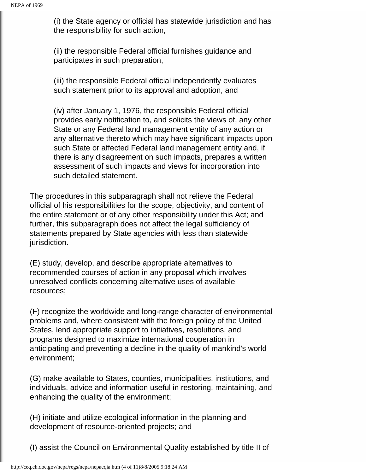(i) the State agency or official has statewide jurisdiction and has the responsibility for such action,

(ii) the responsible Federal official furnishes guidance and participates in such preparation,

(iii) the responsible Federal official independently evaluates such statement prior to its approval and adoption, and

(iv) after January 1, 1976, the responsible Federal official provides early notification to, and solicits the views of, any other State or any Federal land management entity of any action or any alternative thereto which may have significant impacts upon such State or affected Federal land management entity and, if there is any disagreement on such impacts, prepares a written assessment of such impacts and views for incorporation into such detailed statement.

The procedures in this subparagraph shall not relieve the Federal official of his responsibilities for the scope, objectivity, and content of the entire statement or of any other responsibility under this Act; and further, this subparagraph does not affect the legal sufficiency of statements prepared by State agencies with less than statewide jurisdiction.

(E) study, develop, and describe appropriate alternatives to recommended courses of action in any proposal which involves unresolved conflicts concerning alternative uses of available resources;

(F) recognize the worldwide and long-range character of environmental problems and, where consistent with the foreign policy of the United States, lend appropriate support to initiatives, resolutions, and programs designed to maximize international cooperation in anticipating and preventing a decline in the quality of mankind's world environment;

(G) make available to States, counties, municipalities, institutions, and individuals, advice and information useful in restoring, maintaining, and enhancing the quality of the environment;

(H) initiate and utilize ecological information in the planning and development of resource-oriented projects; and

(I) assist the Council on Environmental Quality established by title II of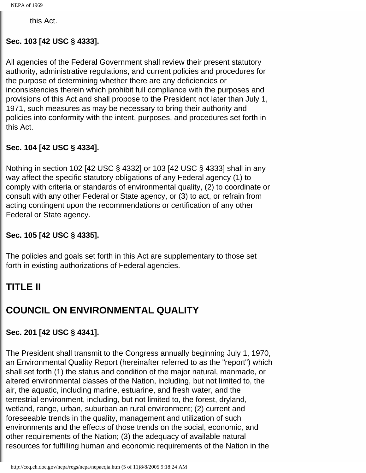this Act.

#### **Sec. 103 [42 USC § 4333].**

All agencies of the Federal Government shall review their present statutory authority, administrative regulations, and current policies and procedures for the purpose of determining whether there are any deficiencies or inconsistencies therein which prohibit full compliance with the purposes and provisions of this Act and shall propose to the President not later than July 1, 1971, such measures as may be necessary to bring their authority and policies into conformity with the intent, purposes, and procedures set forth in this Act.

## **Sec. 104 [42 USC § 4334].**

Nothing in section 102 [42 USC § 4332] or 103 [42 USC § 4333] shall in any way affect the specific statutory obligations of any Federal agency (1) to comply with criteria or standards of environmental quality, (2) to coordinate or consult with any other Federal or State agency, or (3) to act, or refrain from acting contingent upon the recommendations or certification of any other Federal or State agency.

## **Sec. 105 [42 USC § 4335].**

The policies and goals set forth in this Act are supplementary to those set forth in existing authorizations of Federal agencies.

# **TITLE II**

# **COUNCIL ON ENVIRONMENTAL QUALITY**

## **Sec. 201 [42 USC § 4341].**

The President shall transmit to the Congress annually beginning July 1, 1970, an Environmental Quality Report (hereinafter referred to as the "report") which shall set forth (1) the status and condition of the major natural, manmade, or altered environmental classes of the Nation, including, but not limited to, the air, the aquatic, including marine, estuarine, and fresh water, and the terrestrial environment, including, but not limited to, the forest, dryland, wetland, range, urban, suburban an rural environment; (2) current and foreseeable trends in the quality, management and utilization of such environments and the effects of those trends on the social, economic, and other requirements of the Nation; (3) the adequacy of available natural resources for fulfilling human and economic requirements of the Nation in the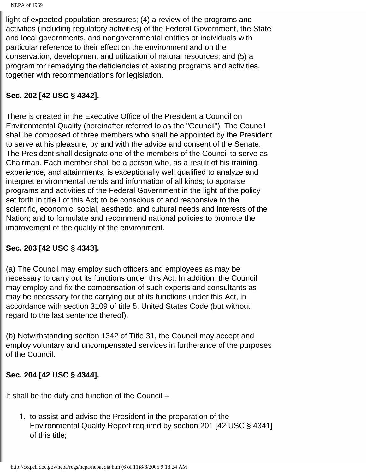NEPA of 1969

light of expected population pressures; (4) a review of the programs and activities (including regulatory activities) of the Federal Government, the State and local governments, and nongovernmental entities or individuals with particular reference to their effect on the environment and on the conservation, development and utilization of natural resources; and (5) a program for remedying the deficiencies of existing programs and activities, together with recommendations for legislation.

#### **Sec. 202 [42 USC § 4342].**

There is created in the Executive Office of the President a Council on Environmental Quality (hereinafter referred to as the "Council"). The Council shall be composed of three members who shall be appointed by the President to serve at his pleasure, by and with the advice and consent of the Senate. The President shall designate one of the members of the Council to serve as Chairman. Each member shall be a person who, as a result of his training, experience, and attainments, is exceptionally well qualified to analyze and interpret environmental trends and information of all kinds; to appraise programs and activities of the Federal Government in the light of the policy set forth in title I of this Act; to be conscious of and responsive to the scientific, economic, social, aesthetic, and cultural needs and interests of the Nation; and to formulate and recommend national policies to promote the improvement of the quality of the environment.

## **Sec. 203 [42 USC § 4343].**

(a) The Council may employ such officers and employees as may be necessary to carry out its functions under this Act. In addition, the Council may employ and fix the compensation of such experts and consultants as may be necessary for the carrying out of its functions under this Act, in accordance with section 3109 of title 5, United States Code (but without regard to the last sentence thereof).

(b) Notwithstanding section 1342 of Title 31, the Council may accept and employ voluntary and uncompensated services in furtherance of the purposes of the Council.

## **Sec. 204 [42 USC § 4344].**

It shall be the duty and function of the Council --

1. to assist and advise the President in the preparation of the Environmental Quality Report required by section 201 [42 USC § 4341] of this title;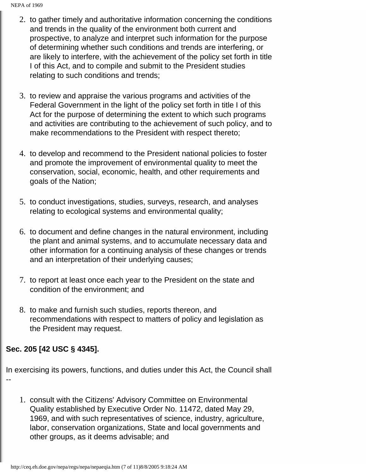NEPA of 1969

- 2. to gather timely and authoritative information concerning the conditions and trends in the quality of the environment both current and prospective, to analyze and interpret such information for the purpose of determining whether such conditions and trends are interfering, or are likely to interfere, with the achievement of the policy set forth in title I of this Act, and to compile and submit to the President studies relating to such conditions and trends;
- 3. to review and appraise the various programs and activities of the Federal Government in the light of the policy set forth in title I of this Act for the purpose of determining the extent to which such programs and activities are contributing to the achievement of such policy, and to make recommendations to the President with respect thereto;
- 4. to develop and recommend to the President national policies to foster and promote the improvement of environmental quality to meet the conservation, social, economic, health, and other requirements and goals of the Nation;
- 5. to conduct investigations, studies, surveys, research, and analyses relating to ecological systems and environmental quality;
- 6. to document and define changes in the natural environment, including the plant and animal systems, and to accumulate necessary data and other information for a continuing analysis of these changes or trends and an interpretation of their underlying causes;
- 7. to report at least once each year to the President on the state and condition of the environment; and
- 8. to make and furnish such studies, reports thereon, and recommendations with respect to matters of policy and legislation as the President may request.

## **Sec. 205 [42 USC § 4345].**

In exercising its powers, functions, and duties under this Act, the Council shall --

1. consult with the Citizens' Advisory Committee on Environmental Quality established by Executive Order No. 11472, dated May 29, 1969, and with such representatives of science, industry, agriculture, labor, conservation organizations, State and local governments and other groups, as it deems advisable; and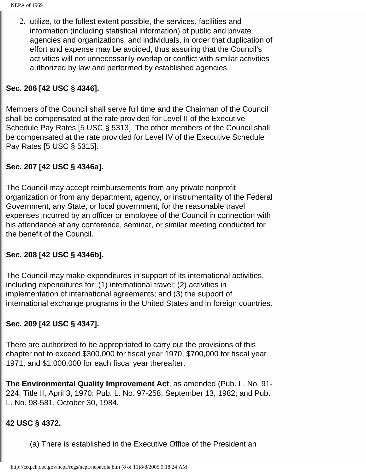2. utilize, to the fullest extent possible, the services, facilities and information (including statistical information) of public and private agencies and organizations, and individuals, in order that duplication of effort and expense may be avoided, thus assuring that the Council's activities will not unnecessarily overlap or conflict with similar activities authorized by law and performed by established agencies.

## **Sec. 206 [42 USC § 4346].**

Members of the Council shall serve full time and the Chairman of the Council shall be compensated at the rate provided for Level II of the Executive Schedule Pay Rates [5 USC § 5313]. The other members of the Council shall be compensated at the rate provided for Level IV of the Executive Schedule Pay Rates [5 USC § 5315].

## **Sec. 207 [42 USC § 4346a].**

The Council may accept reimbursements from any private nonprofit organization or from any department, agency, or instrumentality of the Federal Government, any State, or local government, for the reasonable travel expenses incurred by an officer or employee of the Council in connection with his attendance at any conference, seminar, or similar meeting conducted for the benefit of the Council.

#### **Sec. 208 [42 USC § 4346b].**

The Council may make expenditures in support of its international activities, including expenditures for: (1) international travel; (2) activities in implementation of international agreements; and (3) the support of international exchange programs in the United States and in foreign countries.

## **Sec. 209 [42 USC § 4347].**

There are authorized to be appropriated to carry out the provisions of this chapter not to exceed \$300,000 for fiscal year 1970, \$700,000 for fiscal year 1971, and \$1,000,000 for each fiscal year thereafter.

**The Environmental Quality Improvement Act**, as amended (Pub. L. No. 91- 224, Title II, April 3, 1970; Pub. L. No. 97-258, September 13, 1982; and Pub. L. No. 98-581, October 30, 1984.

#### **42 USC § 4372.**

(a) There is established in the Executive Office of the President an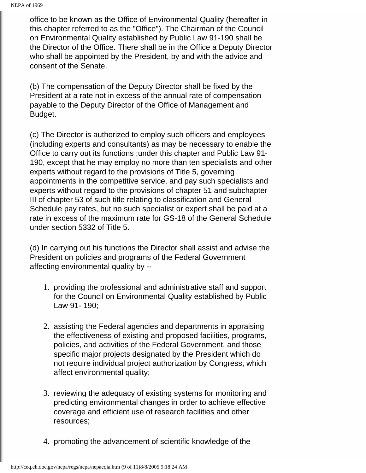office to be known as the Office of Environmental Quality (hereafter in this chapter referred to as the "Office"). The Chairman of the Council on Environmental Quality established by Public Law 91-190 shall be the Director of the Office. There shall be in the Office a Deputy Director who shall be appointed by the President, by and with the advice and consent of the Senate.

(b) The compensation of the Deputy Director shall be fixed by the President at a rate not in excess of the annual rate of compensation payable to the Deputy Director of the Office of Management and Budget.

(c) The Director is authorized to employ such officers and employees (including experts and consultants) as may be necessary to enable the Office to carry out its functions ;under this chapter and Public Law 91- 190, except that he may employ no more than ten specialists and other experts without regard to the provisions of Title 5, governing appointments in the competitive service, and pay such specialists and experts without regard to the provisions of chapter 51 and subchapter III of chapter 53 of such title relating to classification and General Schedule pay rates, but no such specialist or expert shall be paid at a rate in excess of the maximum rate for GS-18 of the General Schedule under section 5332 of Title 5.

(d) In carrying out his functions the Director shall assist and advise the President on policies and programs of the Federal Government affecting environmental quality by --

- 1. providing the professional and administrative staff and support for the Council on Environmental Quality established by Public Law 91- 190;
- 2. assisting the Federal agencies and departments in appraising the effectiveness of existing and proposed facilities, programs, policies, and activities of the Federal Government, and those specific major projects designated by the President which do not require individual project authorization by Congress, which affect environmental quality;
- 3. reviewing the adequacy of existing systems for monitoring and predicting environmental changes in order to achieve effective coverage and efficient use of research facilities and other resources;
- 4. promoting the advancement of scientific knowledge of the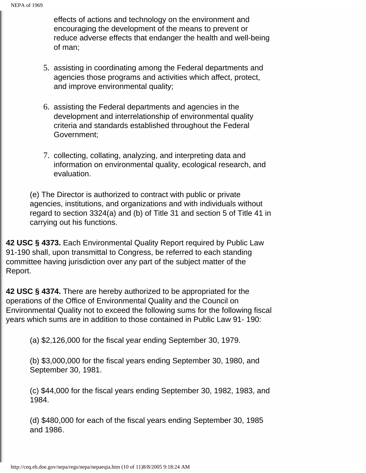effects of actions and technology on the environment and encouraging the development of the means to prevent or reduce adverse effects that endanger the health and well-being of man;

- 5. assisting in coordinating among the Federal departments and agencies those programs and activities which affect, protect, and improve environmental quality;
- 6. assisting the Federal departments and agencies in the development and interrelationship of environmental quality criteria and standards established throughout the Federal Government;
- 7. collecting, collating, analyzing, and interpreting data and information on environmental quality, ecological research, and evaluation.

(e) The Director is authorized to contract with public or private agencies, institutions, and organizations and with individuals without regard to section 3324(a) and (b) of Title 31 and section 5 of Title 41 in carrying out his functions.

**42 USC § 4373.** Each Environmental Quality Report required by Public Law 91-190 shall, upon transmittal to Congress, be referred to each standing committee having jurisdiction over any part of the subject matter of the Report.

**42 USC § 4374.** There are hereby authorized to be appropriated for the operations of the Office of Environmental Quality and the Council on Environmental Quality not to exceed the following sums for the following fiscal years which sums are in addition to those contained in Public Law 91- 190:

(a) \$2,126,000 for the fiscal year ending September 30, 1979.

(b) \$3,000,000 for the fiscal years ending September 30, 1980, and September 30, 1981.

(c) \$44,000 for the fiscal years ending September 30, 1982, 1983, and 1984.

(d) \$480,000 for each of the fiscal years ending September 30, 1985 and 1986.